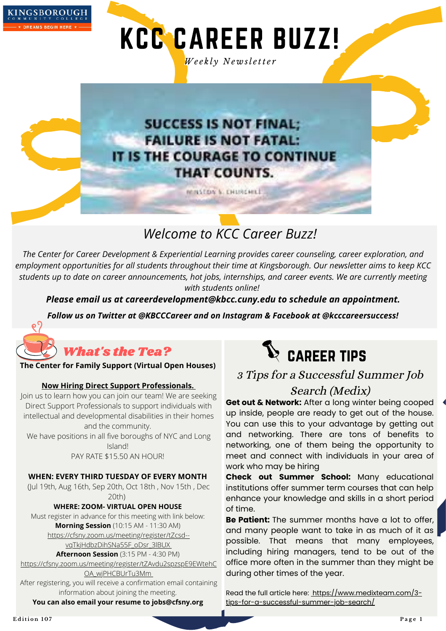

KCC CAREER BUZZ!

*We e k l y N e w sl e tt e r*

## **SUCCESS IS NOT FINAL: FAILURE IS NOT FATAL:** IT IS THE COURAGE TO CONTINUE **THAT COUNTS.**

MINSTON N. ENURGHILL

*Welcome to KCC Career Buzz!*

*The Center for Career Development & Experiential Learning provides career counseling, career exploration, and employment opportunities for all students throughout their time at Kingsborough. Our newsletter aims to keep KCC* students up to date on career announcements, hot jobs, internships, and career events. We are currently meeting *with students online!*

*Please email us at careerdevelopment@kbcc.cuny.edu to schedule an appointment.*

*Follow us on Twitter at @KBCCCareer and on Instagram & Facebook at @kcccareersuccess!*



## What's the Tea?

#### **The Center for Family Support (Virtual Open Houses)**

#### **Now Hiring Direct Support Professionals.**

Join us to learn how you can join our team! We are seeking Direct Support Professionals to support individuals with intellectual and developmental disabilities in their homes and the community.

We have positions in all five boroughs of NYC and Long Island!

PAY RATE \$15.50 AN HOUR!

#### **WHEN: EVERY THIRD TUESDAY OF EVERY MONTH**

(Jul 19th, Aug 16th, Sep 20th, Oct 18th , Nov 15th , Dec 20th)

**WHERE: ZOOM- VIRTUAL OPEN HOUSE** Must register in advance for this meeting with link below:

**Morning Session** (10:15 AM - 11:30 AM)

[https://cfsny.zoom.us/meeting/register/tZcsd-](https://www.canva.com/design/DAFDxgeOtOY/edit) vqTkjHdbzDihSNa55F\_oDsr\_3lBUX

**Afternoon Session** (3:15 PM - 4:30 PM)

[https://cfsny.zoom.us/meeting/register/tZAvdu2spzspE9EWtehC](https://www.canva.com/design/DAFDxgeOtOY/edit)

OA\_wjPHCBUrTu3M[m](https://www.canva.com/design/DAFDxgeOtOY/edit) After registering, you will receive a confirmation email containing information about joining the meeting.

**You can also email your resume to [jobs@cfsny.org](mailto:jobs@cfsny.org)**



3 Tips for a Successful Summer Job

### Search (Medix)

**Get out & Network:** After a long winter being cooped up inside, people are ready to get out of the house. You can use this to your advantage by getting out and networking. There are tons of benefits to networking, one of them being the opportunity to meet and connect with individuals in your area of work who may be hiring

**Check out Summer School:** Many educational institutions offer summer term courses that can help enhance your knowledge and skills in a short period of time.

**Be Patient:** The summer months have a lot to offer, and many people want to take in as much of it as possible. That means that many employees, including hiring managers, tend to be out of the office more often in the summer than they might be during other times of the year.

Read the full article here: https://www.medixteam.com/3[tips-for-a-successful-summer-job-search/](https://www.canva.com/design/DAFDxgeOtOY/edit)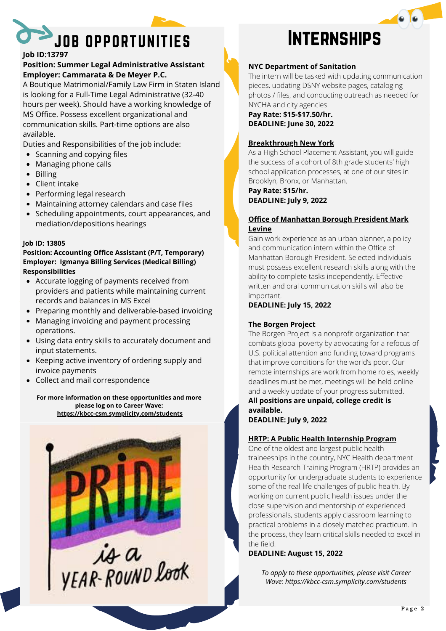

#### **Job ID:13797**

#### **Position: Summer Legal Administrative Assistant Employer: Cammarata & De Meyer P.C.**

A Boutique Matrimonial/Family Law Firm in Staten Island is looking for a Full-Time Legal Administrative (32-40 hours per week). Should have a working knowledge of MS Office. Possess excellent organizational and communication skills. Part-time options are also available.

Duties and Responsibilities of the job include:

- Scanning and copying files
- Managing phone calls
- Billing
- Client intake
- Performing legal research
- Maintaining attorney calendars and case files
- Scheduling appointments, court appearances, and mediation/depositions hearings

#### **Job ID: 13805**

#### **Position: Accounting Office Assistant (P/T, Temporary) Employer: Igmanya Billing Services (Medical Billing) Responsibilities**

- Accurate logging of payments received from providers and patients while maintaining current records and balances in MS Excel
- Preparing monthly and deliverable-based invoicing
- Managing invoicing and payment processing operations.
- Using data entry skills to accurately document and input statements.
- Keeping active inventory of ordering supply and invoice payments
- Collect and mail correspondence

#### **For more information on these opportunities and more please log on to Career Wave: <https://kbcc-csm.symplicity.com/students>**



#### **NYC Department of Sanitation**

The intern will be tasked with updating communication pieces, updating DSNY website pages, cataloging photos / files, and conducting outreach as needed for NYCHA and city agencies.

**Pay Rate: \$15-\$17.50/hr. DEADLINE: June 30, 2022**

#### **Breakthrough New York**

As a High School Placement Assistant, you will guide the success of a cohort of 8th grade students' high school application processes, at one of our sites in Brooklyn, Bronx, or Manhattan.

**Pay Rate: \$15/hr.**

**DEADLINE: July 9, 2022**

#### **Office of Manhattan Borough President Mark Levine**

Gain work experience as an urban planner, a policy and communication intern within the Office of Manhattan Borough President. Selected individuals must possess excellent research skills along with the ability to complete tasks independently. Effective written and oral communication skills will also be important.

#### **DEADLINE: July 15, 2022**

#### **The Borgen Project**

The Borgen Project is a nonprofit organization that combats global poverty by advocating for a refocus of U.S. political attention and funding toward programs that improve conditions for the world's poor. Our remote internships are work from home roles, weekly deadlines must be met, meetings will be held online and a weekly update of your progress submitted. **All positions are unpaid, college credit is available.**

**DEADLINE: July 9, 2022**

#### **HRTP: A Public Health Internship Program**

One of the oldest and largest public health traineeships in the country, NYC Health department Health Research Training Program (HRTP) provides an opportunity for undergraduate students to experience some of the real-life challenges of public health. By working on current public health issues under the close supervision and mentorship of experienced professionals, students apply classroom learning to practical problems in a closely matched practicum. In the process, they learn critical skills needed to excel in the field.

**DEADLINE: August 15, 2022**

*To apply to these opportunities, please visit Career Wave: <https://kbcc-csm.symplicity.com/students>*